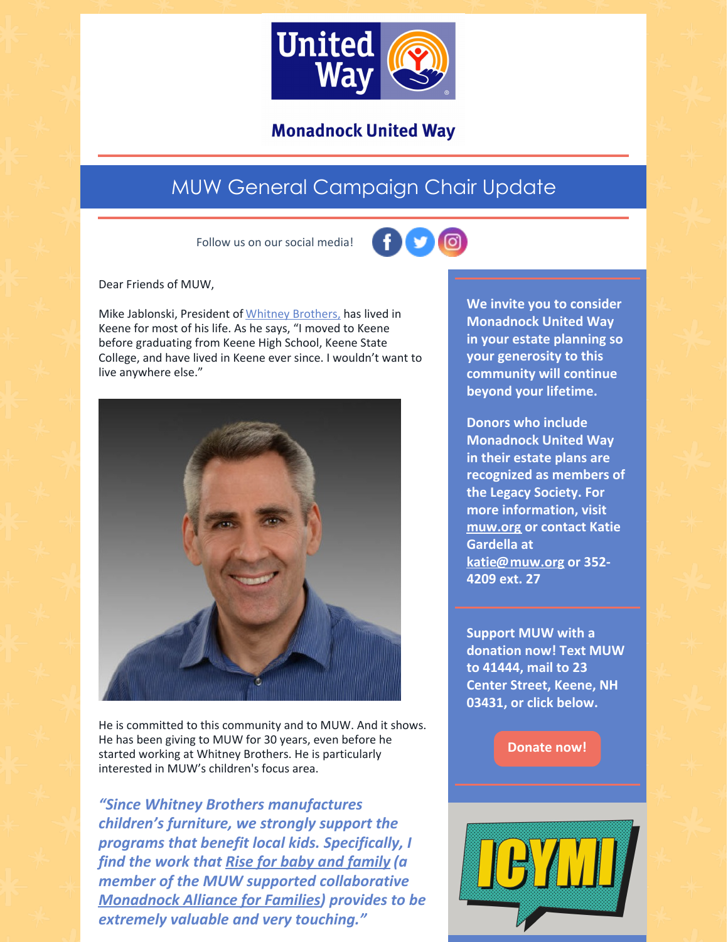

## **Monadnock United Way**

## MUW General Campaign Chair Update

Follow us on our social media!



Dear Friends of MUW,

Mike Jablonski, President of Whitney [Brothers,](https://www.whitneybros.com/) has lived in Keene for most of his life. As he says, "I moved to Keene before graduating from Keene High School, Keene State College, and have lived in Keene ever since. I wouldn't want to live anywhere else."



He is committed to this community and to MUW. And it shows. He has been giving to MUW for 30 years, even before he started working at Whitney Brothers. He is particularly interested in MUW's children's focus area.

*"Since Whitney Brothers manufactures children's furniture, we strongly support the programs that benefit local kids. Specifically, I find the work that Rise for baby and [family](https://www.riseforbabyandfamily.org/) (a member of the MUW supported collaborative [Monadnock](https://www.muw.org/impact/monadnock-alliance-families-0) Alliance for Families) provides to be extremely valuable and very touching."*

**We invite you to consider Monadnock United Way in your estate planning so your generosity to this community will continue beyond your lifetime.**

**Donors who include Monadnock United Way in their estate plans are recognized as members of the Legacy Society. For more information, visit [muw.org](https://www.muw.org/planned-giving) or contact Katie Gardella at [katie@muw.org](mailto:katie@muw.org) or 352- 4209 ext. 27**

**Support MUW with a donation now! Text MUW to 41444, mail to 23 Center Street, Keene, NH 03431, or click below.**

**[Donate](https://app.mobilecause.com/form/ZRKvlQ?reset=1&%253Bid=1&vid=oi7n5) now!**

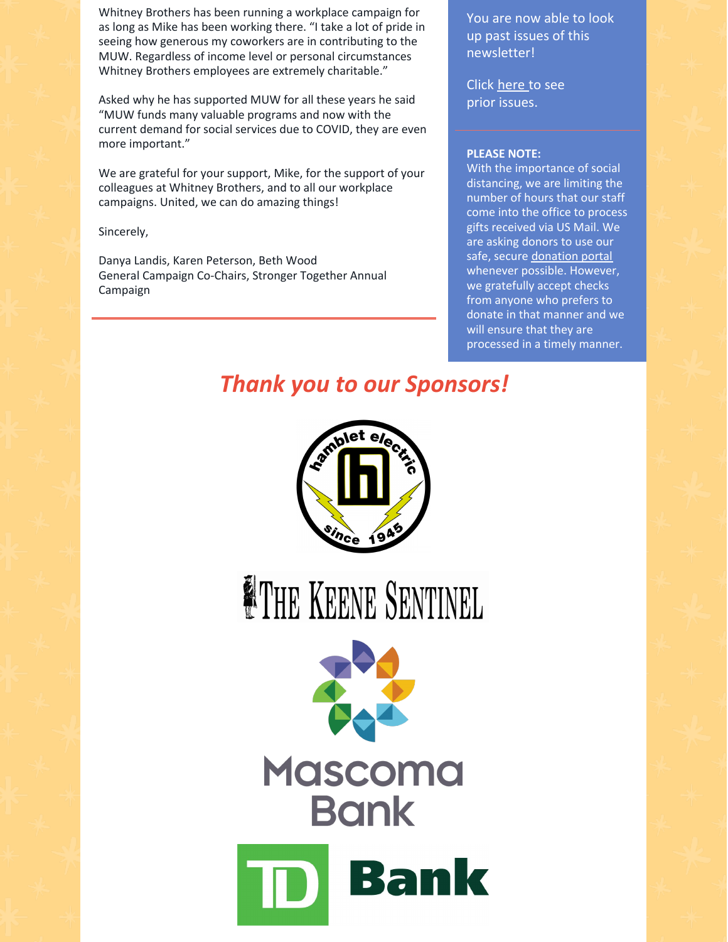Whitney Brothers has been running a workplace campaign for as long as Mike has been working there. "I take a lot of pride in seeing how generous my coworkers are in contributing to the MUW. Regardless of income level or personal circumstances Whitney Brothers employees are extremely charitable."

Asked why he has supported MUW for all these years he said "MUW funds many valuable programs and now with the current demand for social services due to COVID, they are even more important."

We are grateful for your support, Mike, for the support of your colleagues at Whitney Brothers, and to all our workplace campaigns. United, we can do amazing things!

Sincerely,

Danya Landis, Karen Peterson, Beth Wood General Campaign Co-Chairs, Stronger Together Annual Campaign

You are now able to look up past issues of this newsletter!

Click [here](https://www.muw.org/news/newsletters) to see prior issues.

## **PLEASE NOTE:**

With the importance of social distancing, we are limiting the number of hours that our staff come into the office to process gifts received via US Mail. We are asking donors to use our safe, secure [donation](https://app.mobilecause.com/f/1x8m/n?reset=1&%253Bid=1&vid=jxr2e) portal whenever possible. However, we gratefully accept checks from anyone who prefers to donate in that manner and we will ensure that they are processed in a timely manner.

*Thank you to our Sponsors!*



**ETHE KEENE SENTINEL**